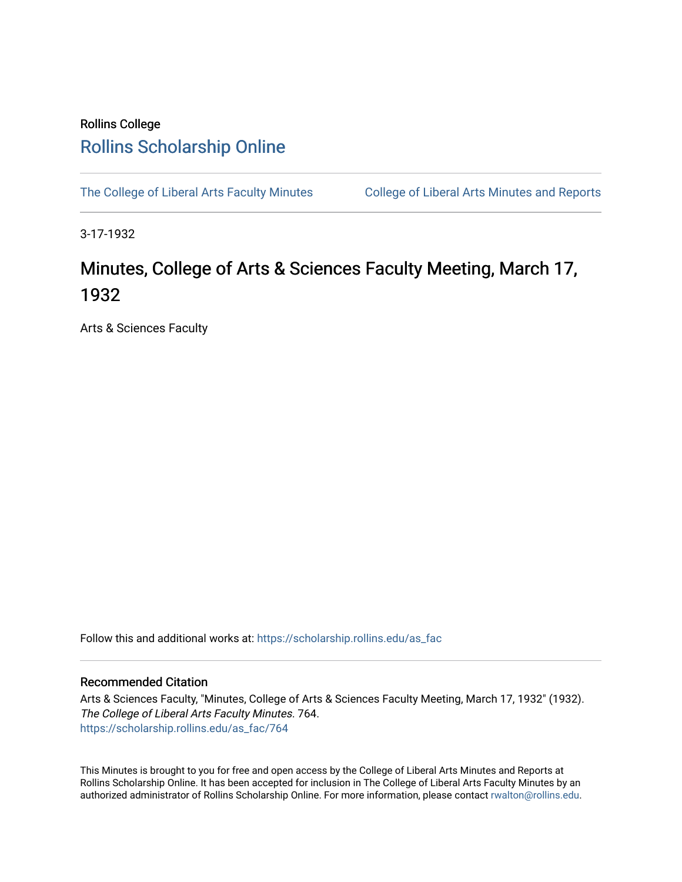## Rollins College [Rollins Scholarship Online](https://scholarship.rollins.edu/)

[The College of Liberal Arts Faculty Minutes](https://scholarship.rollins.edu/as_fac) College of Liberal Arts Minutes and Reports

3-17-1932

## Minutes, College of Arts & Sciences Faculty Meeting, March 17, 1932

Arts & Sciences Faculty

Follow this and additional works at: [https://scholarship.rollins.edu/as\\_fac](https://scholarship.rollins.edu/as_fac?utm_source=scholarship.rollins.edu%2Fas_fac%2F764&utm_medium=PDF&utm_campaign=PDFCoverPages) 

## Recommended Citation

Arts & Sciences Faculty, "Minutes, College of Arts & Sciences Faculty Meeting, March 17, 1932" (1932). The College of Liberal Arts Faculty Minutes. 764. [https://scholarship.rollins.edu/as\\_fac/764](https://scholarship.rollins.edu/as_fac/764?utm_source=scholarship.rollins.edu%2Fas_fac%2F764&utm_medium=PDF&utm_campaign=PDFCoverPages) 

This Minutes is brought to you for free and open access by the College of Liberal Arts Minutes and Reports at Rollins Scholarship Online. It has been accepted for inclusion in The College of Liberal Arts Faculty Minutes by an authorized administrator of Rollins Scholarship Online. For more information, please contact [rwalton@rollins.edu](mailto:rwalton@rollins.edu).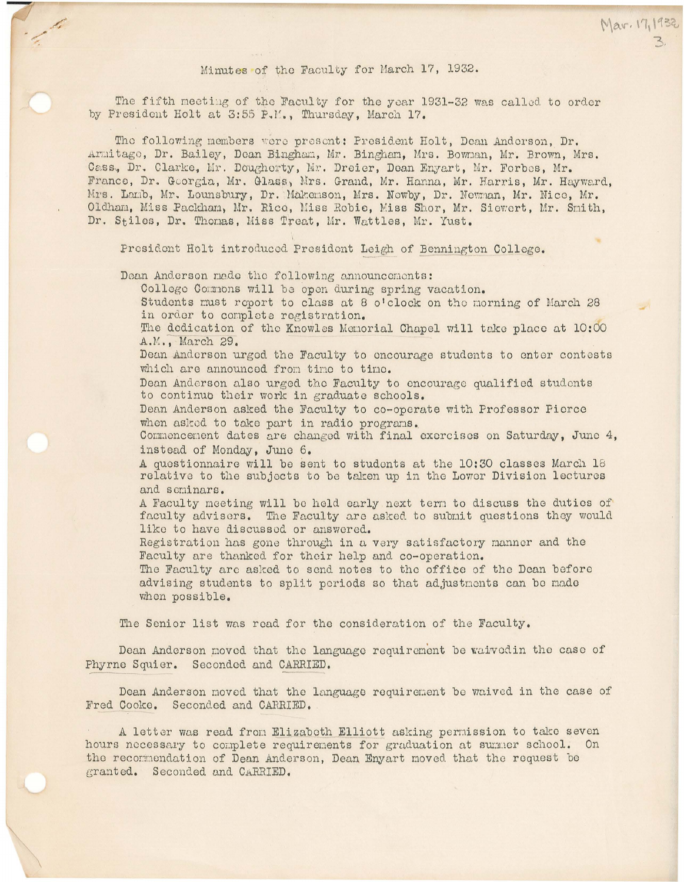Mar. 17, 1932

The fifth meeting of the Faculty for the year 1931-32 was called to order by President Holt at 3:55 P.M., Thursday, March 17.

The following members were present: President Holt, Dean Anderson, Dr. Armitage, Dr. Bailey, Dean Bingham, Mr. Bingham, Mrs. Bowman, Mr. Brown, Mrs. Cass, Dr. Clarke, Mr. Dougherty, Mr. Dreier, Dean Enyart, Mr. Forbes, Mr. France, Dr. Georgia, Mr. Glass, Mrs. Grand, Mr. Hanna, Mr. Harris, Mr. Hayward. Mrs. Lanb, Mr. Lounsbury, Dr. Makenson, Mrs. Newby, Dr. Newman, Mr. Nice, Mr. Oldham, Miss Packham, Mr. Rico, Miss Robie, Miss Shor, Mr. Siewert, Mr. Smith, Dr. Stiles, Dr. Thomas, Miss Treat, Mr. Wattles, Mr. Yust.

President Holt introduced President Leigh of Bennington College.

Dean Anderson made the following announcements:

College Commons will be open during spring vacation.

Students must report to class at 8 o'clock on the morning of March 28 in order to complete registration.

The dedication of the Knowles Menorial Chapel will take place at 10:00 A.M., March 29.

Dean Anderson urged the Faculty to encourage students to enter contests which are announced from time to time.

Dean Anderson also urged the Faculty to encourage qualified students to continuo their work in graduate schools.

Dean Anderson asked the Faculty to co-operate with Professor Pierce when asked to take part in radio programs.

Commencement dates are changed with final exercises on Saturday, June 4, instead of Monday, June 6.

A questionnaire will be sent to students at the 10:30 classes March 18 relative to the subjects to be taken up in the Lower Division lectures and seminars.

A Faculty meeting will be held early next term to discuss the duties of faculty advisers. The Faculty are asked to submit questions they would like to have discussed or answered.

Registration has gone through in a very satisfactory manner and the Faculty are thanked for their help and co-operation.

The Faculty are asked to send notes to the office of the Dean before advising students to split periods so that adjustments can be made when possible.

The Senior list was read for the consideration of the Faculty.

Dean Anderson moved that the language requirement be waived in the case of Phyrne Squier. Seconded and CARRIED.

Dean Anderson moved that the language requirement be waived in the case of Fred Cooke. Seconded and CARRIED.

A letter was read from Elizabeth Elliott asking permission to take seven hours necessary to complete requirements for graduation at summer school. On the recommendation of Dean Anderson, Dean Enyart moved that the request be granted. Seconded and CARRIED.